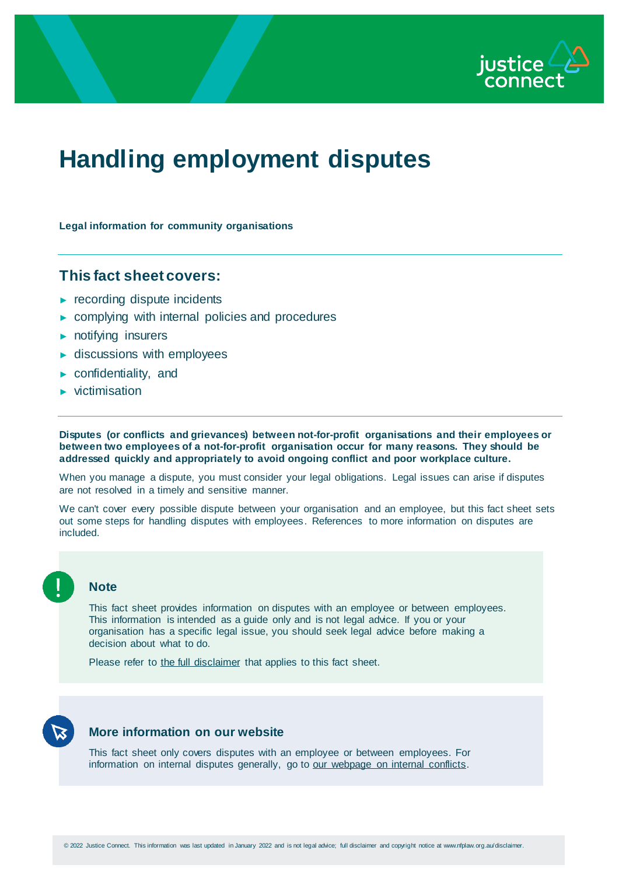

# **Handling employment disputes**

**Legal information for community organisations**

# **This fact sheet covers:**

- ► recording dispute incidents
- ► complying with internal policies and procedures
- ► notifying insurers
- ► discussions with employees
- ► confidentiality, and
- ► victimisation

**Disputes (or conflicts and grievances) between not-for-profit organisations and their employees or between two employees of a not-for-profit organisation occur for many reasons. They should be addressed quickly and appropriately to avoid ongoing conflict and poor workplace culture.**

When you manage a dispute, you must consider your legal obligations. Legal issues can arise if disputes are not resolved in a timely and sensitive manner.

We can't cover every possible dispute between your organisation and an employee, but this fact sheet sets out some steps for handling disputes with employees. References to more information on disputes are included.

**Note**

This fact sheet provides information on disputes with an employee or between employees. This information is intended as a guide only and is not legal advice. If you or your organisation has a specific legal issue, you should seek legal advice before making a decision about what to do.

Please refer to [the full disclaimer](http://www.nfplaw.org.au/disclaimer) that applies to this fact sheet.



### **More information on our website**

This fact sheet only covers disputes with an employee or between employees. For information on internal disputes generally, go to [our webpage on internal conflicts.](http://www.nfplaw.org.au/internalconflict)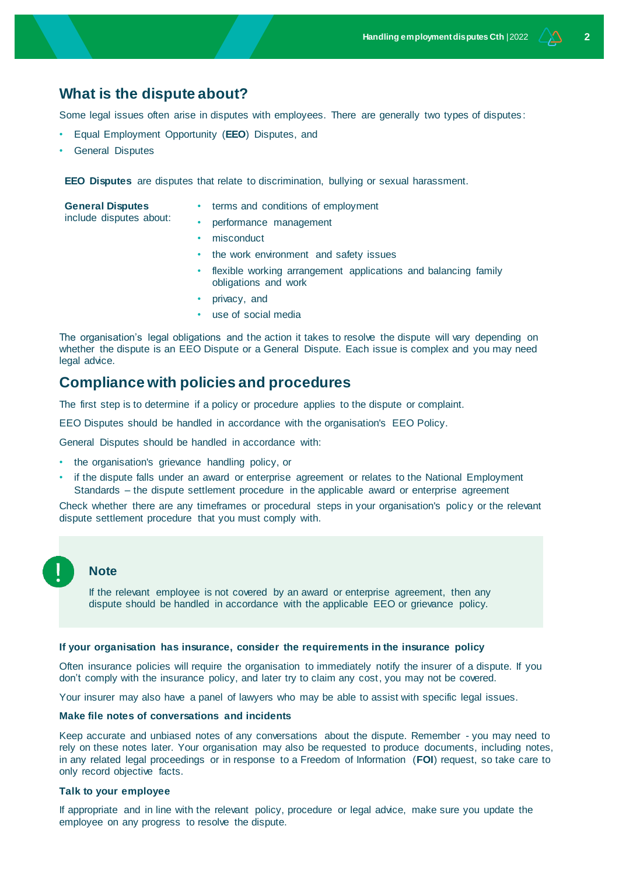# **What is the dispute about?**

Some legal issues often arise in disputes with employees. There are generally two types of disputes :

- Equal Employment Opportunity (**EEO**) Disputes, and
- General Disputes

**EEO Disputes** are disputes that relate to discrimination, bullying or sexual harassment.

| <b>General Disputes</b><br>include disputes about: | terms and conditions of employment                                    |
|----------------------------------------------------|-----------------------------------------------------------------------|
|                                                    | performance management                                                |
|                                                    | • misconduct                                                          |
|                                                    | and the contract of the second contract of the fields of the contract |

- the work environment and safety issues
- flexible working arrangement applications and balancing family obligations and work
- privacy, and
- use of social media

The organisation's legal obligations and the action it takes to resolve the dispute will vary depending on whether the dispute is an EEO Dispute or a General Dispute. Each issue is complex and you may need legal advice.

# **Compliance with policies and procedures**

The first step is to determine if a policy or procedure applies to the dispute or complaint.

EEO Disputes should be handled in accordance with the organisation's EEO Policy.

General Disputes should be handled in accordance with:

- the organisation's grievance handling policy, or
- if the dispute falls under an award or enterprise agreement or relates to the National Employment Standards – the dispute settlement procedure in the applicable award or enterprise agreement

Check whether there are any timeframes or procedural steps in your organisation's policy or the relevant dispute settlement procedure that you must comply with.

## **Note**

If the relevant employee is not covered by an award or enterprise agreement, then any dispute should be handled in accordance with the applicable EEO or grievance policy.

#### **If your organisation has insurance, consider the requirements in the insurance policy**

Often insurance policies will require the organisation to immediately notify the insurer of a dispute. If you don't comply with the insurance policy, and later try to claim any cost, you may not be covered.

Your insurer may also have a panel of lawyers who may be able to assist with specific legal issues.

#### **Make file notes of conversations and incidents**

Keep accurate and unbiased notes of any conversations about the dispute. Remember - you may need to rely on these notes later. Your organisation may also be requested to produce documents, including notes, in any related legal proceedings or in response to a Freedom of Information (**FOI**) request, so take care to only record objective facts.

#### **Talk to your employee**

If appropriate and in line with the relevant policy, procedure or legal advice, make sure you update the employee on any progress to resolve the dispute.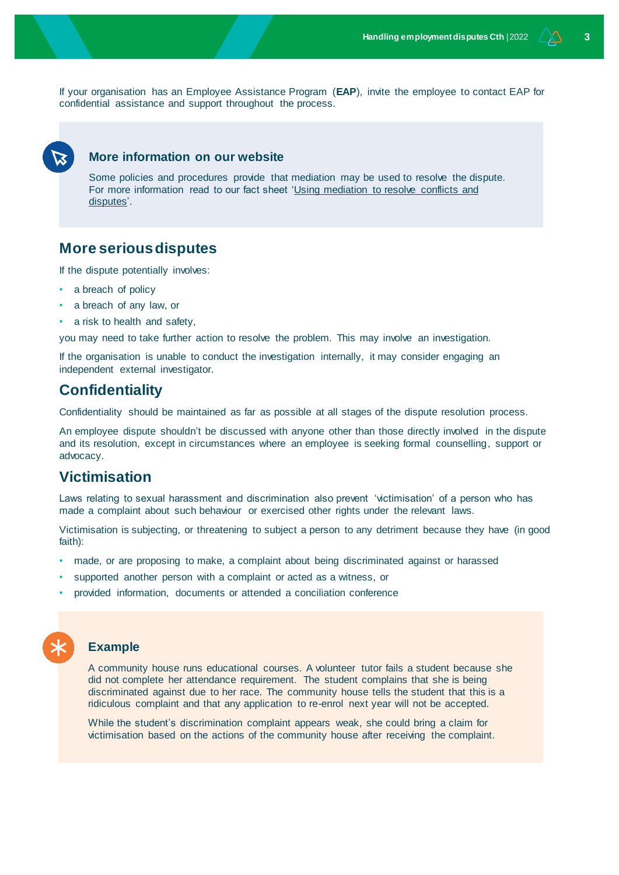If your organisation has an Employee Assistance Program (**EAP**), invite the employee to contact EAP for confidential assistance and support throughout the process.



### **More information on our website**

Some policies and procedures provide that mediation may be used to resolve the dispute. For more information read to our fact sheet ['Using mediation to resolve conflicts and](http://www.nfplaw.org.au/mediation)  [disputes'.](http://www.nfplaw.org.au/mediation)

# **More serious disputes**

If the dispute potentially involves:

- a breach of policy
- a breach of any law, or
- a risk to health and safety,

you may need to take further action to resolve the problem. This may involve an investigation.

If the organisation is unable to conduct the investigation internally, it may consider engaging an independent external investigator.

# **Confidentiality**

Confidentiality should be maintained as far as possible at all stages of the dispute resolution process.

An employee dispute shouldn't be discussed with anyone other than those directly involved in the dispute and its resolution, except in circumstances where an employee is seeking formal counselling, support or advocacy.

# **Victimisation**

Laws relating to sexual harassment and discrimination also prevent 'victimisation' of a person who has made a complaint about such behaviour or exercised other rights under the relevant laws.

Victimisation is subjecting, or threatening to subject a person to any detriment because they have (in good faith):

- made, or are proposing to make, a complaint about being discriminated against or harassed
- supported another person with a complaint or acted as a witness, or
- provided information, documents or attended a conciliation conference



#### **Example**

A community house runs educational courses. A volunteer tutor fails a student because she did not complete her attendance requirement. The student complains that she is being discriminated against due to her race. The community house tells the student that this is a ridiculous complaint and that any application to re-enrol next year will not be accepted.

While the student's discrimination complaint appears weak, she could bring a claim for victimisation based on the actions of the community house after receiving the complaint.